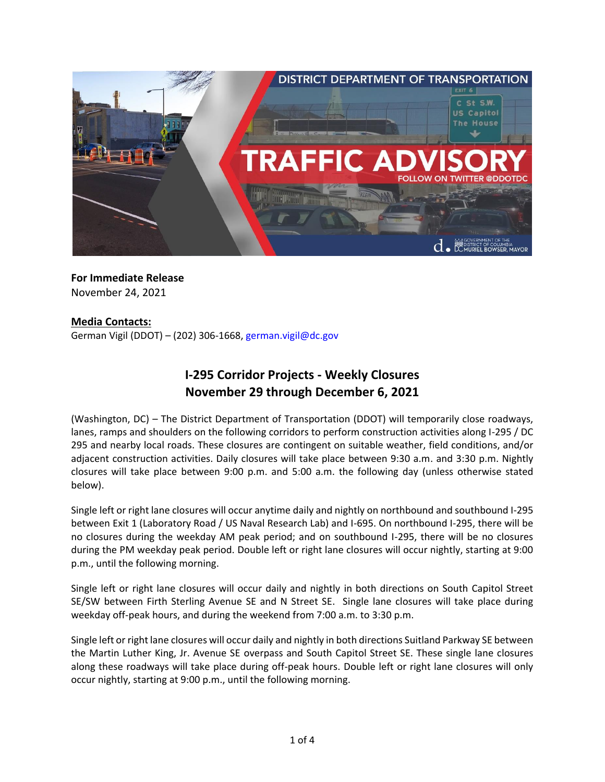

**For Immediate Release** November 24, 2021

### **Media Contacts:**

German Vigil (DDOT) – (202) 306-1668, [german.vigil@dc.gov](mailto:german.vigil@dc.gov)

# **I-295 Corridor Projects - Weekly Closures November 29 through December 6, 2021**

(Washington, DC) – The District Department of Transportation (DDOT) will temporarily close roadways, lanes, ramps and shoulders on the following corridors to perform construction activities along I-295 / DC 295 and nearby local roads. These closures are contingent on suitable weather, field conditions, and/or adjacent construction activities. Daily closures will take place between 9:30 a.m. and 3:30 p.m. Nightly closures will take place between 9:00 p.m. and 5:00 a.m. the following day (unless otherwise stated below).

Single left or right lane closures will occur anytime daily and nightly on northbound and southbound I-295 between Exit 1 (Laboratory Road / US Naval Research Lab) and I-695. On northbound I-295, there will be no closures during the weekday AM peak period; and on southbound I-295, there will be no closures during the PM weekday peak period. Double left or right lane closures will occur nightly, starting at 9:00 p.m., until the following morning.

Single left or right lane closures will occur daily and nightly in both directions on South Capitol Street SE/SW between Firth Sterling Avenue SE and N Street SE. Single lane closures will take place during weekday off-peak hours, and during the weekend from 7:00 a.m. to 3:30 p.m.

Single left or right lane closures will occur daily and nightly in both directions Suitland Parkway SE between the Martin Luther King, Jr. Avenue SE overpass and South Capitol Street SE. These single lane closures along these roadways will take place during off-peak hours. Double left or right lane closures will only occur nightly, starting at 9:00 p.m., until the following morning.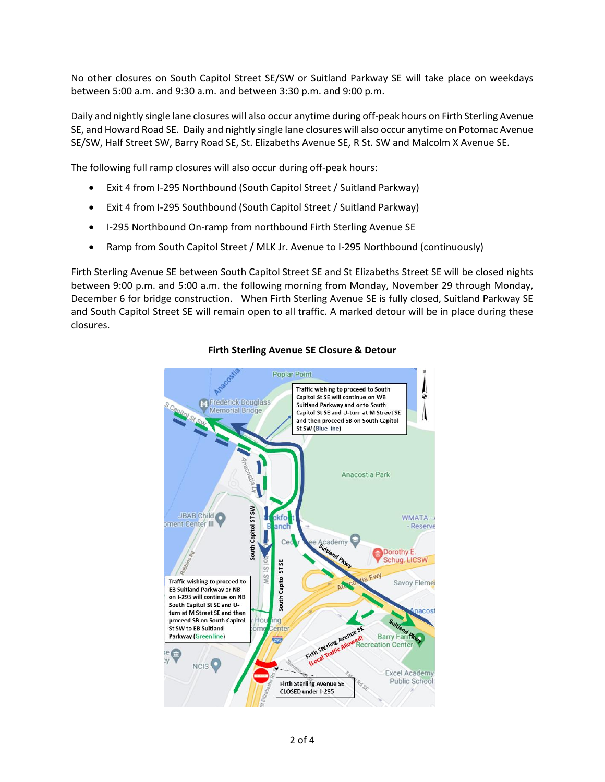No other closures on South Capitol Street SE/SW or Suitland Parkway SE will take place on weekdays between 5:00 a.m. and 9:30 a.m. and between 3:30 p.m. and 9:00 p.m.

Daily and nightly single lane closures will also occur anytime during off-peak hours on Firth Sterling Avenue SE, and Howard Road SE. Daily and nightly single lane closures will also occur anytime on Potomac Avenue SE/SW, Half Street SW, Barry Road SE, St. Elizabeths Avenue SE, R St. SW and Malcolm X Avenue SE.

The following full ramp closures will also occur during off-peak hours:

- Exit 4 from I-295 Northbound (South Capitol Street / Suitland Parkway)
- Exit 4 from I-295 Southbound (South Capitol Street / Suitland Parkway)
- I-295 Northbound On-ramp from northbound Firth Sterling Avenue SE
- Ramp from South Capitol Street / MLK Jr. Avenue to I-295 Northbound (continuously)

Firth Sterling Avenue SE between South Capitol Street SE and St Elizabeths Street SE will be closed nights between 9:00 p.m. and 5:00 a.m. the following morning from Monday, November 29 through Monday, December 6 for bridge construction. When Firth Sterling Avenue SE is fully closed, Suitland Parkway SE and South Capitol Street SE will remain open to all traffic. A marked detour will be in place during these closures.



## **Firth Sterling Avenue SE Closure & Detour**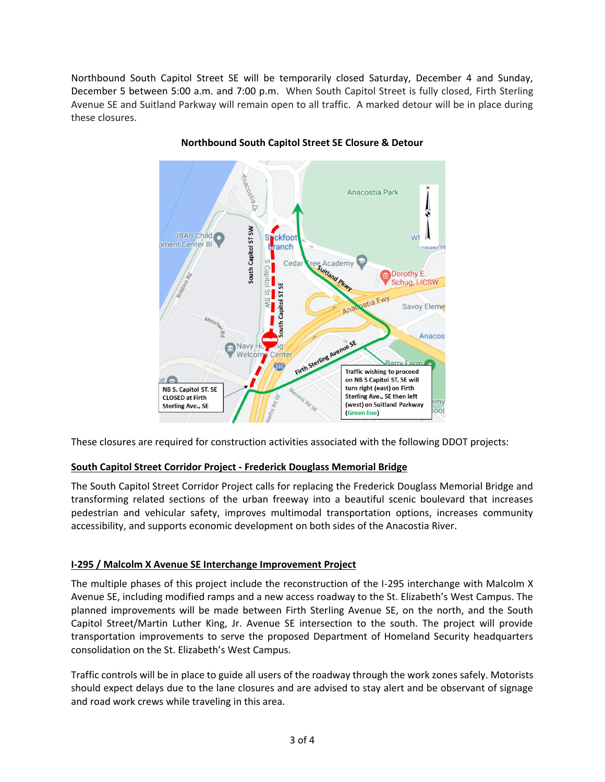Northbound South Capitol Street SE will be temporarily closed Saturday, December 4 and Sunday, December 5 between 5:00 a.m. and 7:00 p.m. When South Capitol Street is fully closed, Firth Sterling Avenue SE and Suitland Parkway will remain open to all traffic. A marked detour will be in place during these closures.



**Northbound South Capitol Street SE Closure & Detour**

These closures are required for construction activities associated with the following DDOT projects:

# **South Capitol Street Corridor Project - Frederick Douglass Memorial Bridge**

The South Capitol Street Corridor Project calls for replacing the Frederick Douglass Memorial Bridge and transforming related sections of the urban freeway into a beautiful scenic boulevard that increases pedestrian and vehicular safety, improves multimodal transportation options, increases community accessibility, and supports economic development on both sides of the Anacostia River.

### **I-295 / Malcolm X Avenue SE Interchange Improvement Project**

The multiple phases of this project include the reconstruction of the I-295 interchange with Malcolm X Avenue SE, including modified ramps and a new access roadway to the St. Elizabeth's West Campus. The planned improvements will be made between Firth Sterling Avenue SE, on the north, and the South Capitol Street/Martin Luther King, Jr. Avenue SE intersection to the south. The project will provide transportation improvements to serve the proposed Department of Homeland Security headquarters consolidation on the St. Elizabeth's West Campus.

Traffic controls will be in place to guide all users of the roadway through the work zones safely. Motorists should expect delays due to the lane closures and are advised to stay alert and be observant of signage and road work crews while traveling in this area.